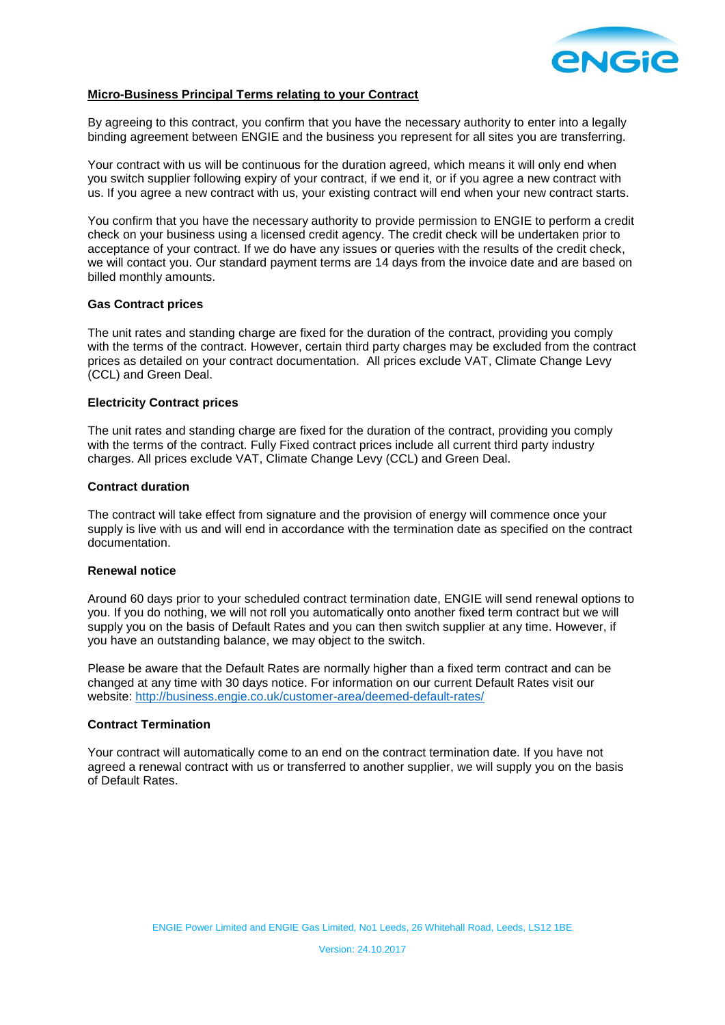

# **Micro-Business Principal Terms relating to your Contract**

By agreeing to this contract, you confirm that you have the necessary authority to enter into a legally binding agreement between ENGIE and the business you represent for all sites you are transferring.

Your contract with us will be continuous for the duration agreed, which means it will only end when you switch supplier following expiry of your contract, if we end it, or if you agree a new contract with us. If you agree a new contract with us, your existing contract will end when your new contract starts.

You confirm that you have the necessary authority to provide permission to ENGIE to perform a credit check on your business using a licensed credit agency. The credit check will be undertaken prior to acceptance of your contract. If we do have any issues or queries with the results of the credit check, we will contact you. Our standard payment terms are 14 days from the invoice date and are based on billed monthly amounts.

## **Gas Contract prices**

The unit rates and standing charge are fixed for the duration of the contract, providing you comply with the terms of the contract. However, certain third party charges may be excluded from the contract prices as detailed on your contract documentation. All prices exclude VAT, Climate Change Levy (CCL) and Green Deal.

## **Electricity Contract prices**

The unit rates and standing charge are fixed for the duration of the contract, providing you comply with the terms of the contract. Fully Fixed contract prices include all current third party industry charges. All prices exclude VAT, Climate Change Levy (CCL) and Green Deal.

## **Contract duration**

The contract will take effect from signature and the provision of energy will commence once your supply is live with us and will end in accordance with the termination date as specified on the contract documentation.

#### **Renewal notice**

Around 60 days prior to your scheduled contract termination date, ENGIE will send renewal options to you. If you do nothing, we will not roll you automatically onto another fixed term contract but we will supply you on the basis of Default Rates and you can then switch supplier at any time. However, if you have an outstanding balance, we may object to the switch.

Please be aware that the Default Rates are normally higher than a fixed term contract and can be changed at any time with 30 days notice. For information on our current Default Rates visit our website: <http://business.engie.co.uk/customer-area/deemed-default-rates/>

## **Contract Termination**

Your contract will automatically come to an end on the contract termination date. If you have not agreed a renewal contract with us or transferred to another supplier, we will supply you on the basis of Default Rates.